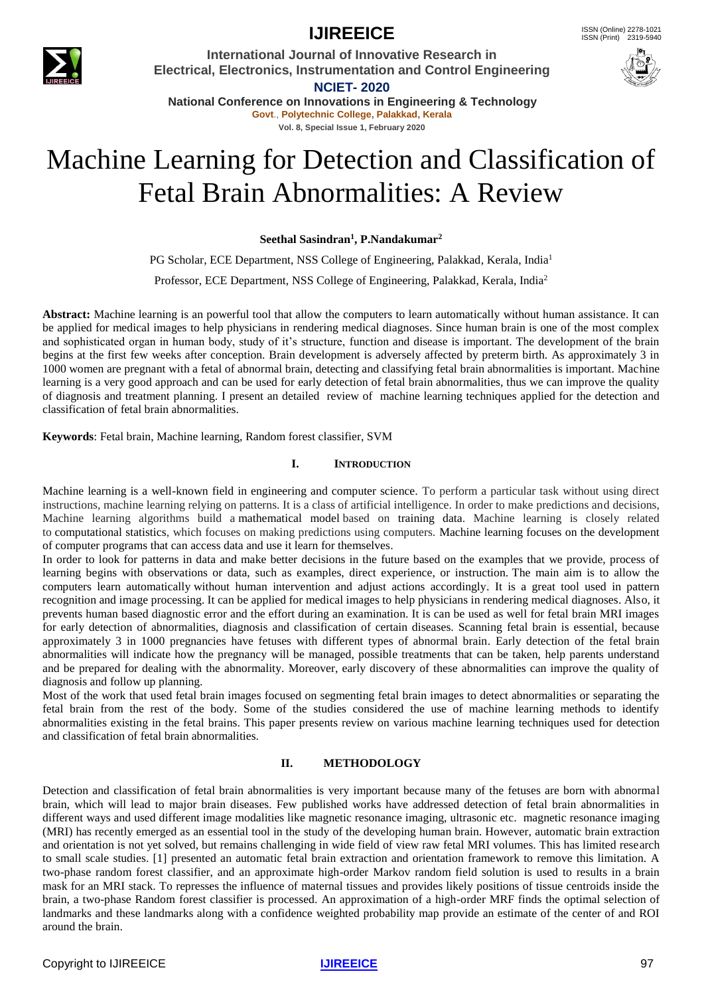

**IJIREEICE ISSN** (Online) 2278-1021

**International Journal of Innovative Research in Electrical, Electronics, Instrumentation and Control Engineering NCIET- 2020**



**National Conference on Innovations in Engineering & Technology Govt**., **Polytechnic College, Palakkad, Kerala Vol. 8, Special Issue 1, February 2020**

# Machine Learning for Detection and Classification of Fetal Brain Abnormalities: A Review

**Seethal Sasindran<sup>1</sup> , P.Nandakumar<sup>2</sup>**

PG Scholar, ECE Department, NSS College of Engineering, Palakkad, Kerala, India<sup>1</sup> Professor, ECE Department, NSS College of Engineering, Palakkad, Kerala, India<sup>2</sup>

**Abstract:** Machine learning is an powerful tool that allow the computers to learn automatically without human assistance. It can be applied for medical images to help physicians in rendering medical diagnoses. Since human brain is one of the most complex and sophisticated organ in human body, study of it's structure, function and disease is important. The development of the brain begins at the first few weeks after conception. Brain development is adversely affected by preterm birth. As approximately 3 in 1000 women are pregnant with a fetal of abnormal brain, detecting and classifying fetal brain abnormalities is important. Machine learning is a very good approach and can be used for early detection of fetal brain abnormalities, thus we can improve the quality of diagnosis and treatment planning. I present an detailed review of machine learning techniques applied for the detection and classification of fetal brain abnormalities.

**Keywords**: Fetal brain, Machine learning, Random forest classifier, SVM

#### **I. INTRODUCTION**

Machine learning is a well-known field in engineering and computer science. To perform a particular task without using direct instructions, machine learning relying on patterns. It is a class of artificial intelligence. In order to make predictions and decisions, Machine learning algorithms build a mathematical model based on training data. Machine learning is closely related to computational statistics, which focuses on making predictions using computers. Machine learning focuses on the development of computer programs that can access data and use it learn for themselves.

In order to look for patterns in data and make better decisions in the future based on the examples that we provide, process of learning begins with observations or data, such as examples, direct experience, or instruction. The main aim is to allow the computers learn automatically without human intervention and adjust actions accordingly. It is a great tool used in pattern recognition and image processing. It can be applied for medical images to help physicians in rendering medical diagnoses. Also, it prevents human based diagnostic error and the effort during an examination. It is can be used as well for fetal brain MRI images for early detection of abnormalities, diagnosis and classification of certain diseases. Scanning fetal brain is essential, because approximately 3 in 1000 pregnancies have fetuses with different types of abnormal brain. Early detection of the fetal brain abnormalities will indicate how the pregnancy will be managed, possible treatments that can be taken, help parents understand and be prepared for dealing with the abnormality. Moreover, early discovery of these abnormalities can improve the quality of diagnosis and follow up planning.

Most of the work that used fetal brain images focused on segmenting fetal brain images to detect abnormalities or separating the fetal brain from the rest of the body. Some of the studies considered the use of machine learning methods to identify abnormalities existing in the fetal brains. This paper presents review on various machine learning techniques used for detection and classification of fetal brain abnormalities.

#### **II. METHODOLOGY**

Detection and classification of fetal brain abnormalities is very important because many of the fetuses are born with abnormal brain, which will lead to major brain diseases. Few published works have addressed detection of fetal brain abnormalities in different ways and used different image modalities like magnetic resonance imaging, ultrasonic etc. magnetic resonance imaging (MRI) has recently emerged as an essential tool in the study of the developing human brain. However, automatic brain extraction and orientation is not yet solved, but remains challenging in wide field of view raw fetal MRI volumes. This has limited research to small scale studies. [1] presented an automatic fetal brain extraction and orientation framework to remove this limitation. A two-phase random forest classifier, and an approximate high-order Markov random field solution is used to results in a brain mask for an MRI stack. To represses the influence of maternal tissues and provides likely positions of tissue centroids inside the brain, a two-phase Random forest classifier is processed. An approximation of a high-order MRF finds the optimal selection of landmarks and these landmarks along with a confidence weighted probability map provide an estimate of the center of and ROI around the brain.

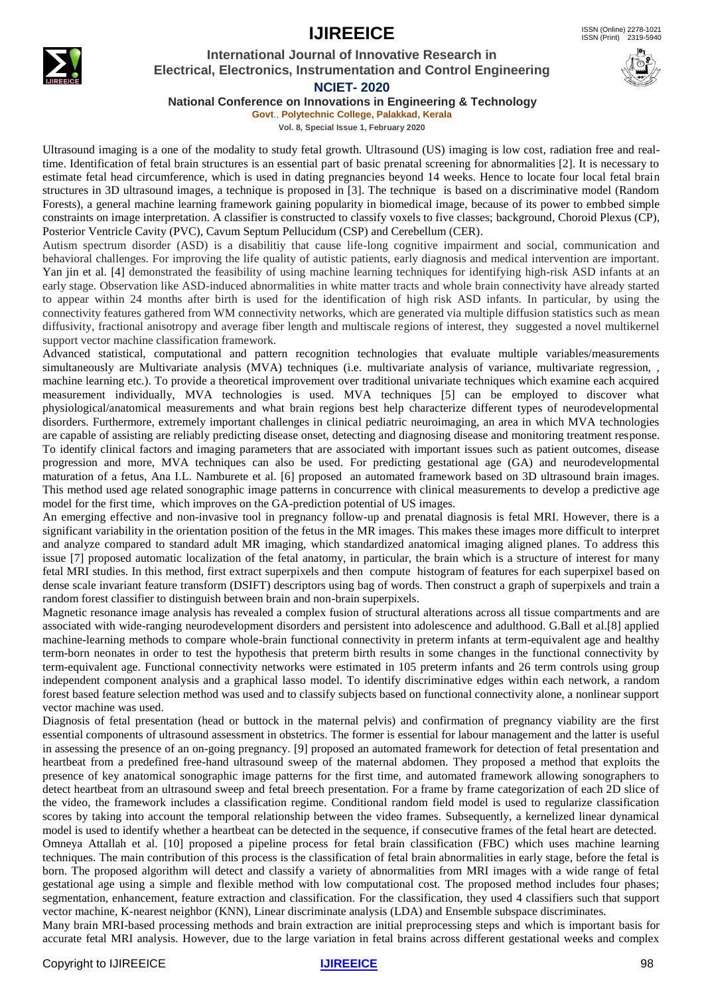# **IJIREEICE** ISSN (Online)  $2278-1021$



# **International Journal of Innovative Research in Electrical, Electronics, Instrumentation and Control Engineering NCIET- 2020**

**National Conference on Innovations in Engineering & Technology**

**Govt**., **Polytechnic College, Palakkad, Kerala Vol. 8, Special Issue 1, February 2020**

Ultrasound imaging is a one of the modality to study fetal growth. Ultrasound (US) imaging is low cost, radiation free and realtime. Identification of fetal brain structures is an essential part of basic prenatal screening for abnormalities [2]. It is necessary to estimate fetal head circumference, which is used in dating pregnancies beyond 14 weeks. Hence to locate four local fetal brain structures in 3D ultrasound images, a technique is proposed in [3]. The technique is based on a discriminative model (Random Forests), a general machine learning framework gaining popularity in biomedical image, because of its power to embbed simple constraints on image interpretation. A classifier is constructed to classify voxels to five classes; background, Choroid Plexus (CP), Posterior Ventricle Cavity (PVC), Cavum Septum Pellucidum (CSP) and Cerebellum (CER).

Autism spectrum disorder (ASD) is a disabilitiy that cause life-long cognitive impairment and social, communication and behavioral challenges. For improving the life quality of autistic patients, early diagnosis and medical intervention are important. Yan jin et al. [4] demonstrated the feasibility of using machine learning techniques for identifying high-risk ASD infants at an early stage. Observation like ASD-induced abnormalities in white matter tracts and whole brain connectivity have already started to appear within 24 months after birth is used for the identification of high risk ASD infants. In particular, by using the connectivity features gathered from WM connectivity networks, which are generated via multiple diffusion statistics such as mean diffusivity, fractional anisotropy and average fiber length and multiscale regions of interest, they suggested a novel multikernel support vector machine classification framework.

Advanced statistical, computational and pattern recognition technologies that evaluate multiple variables/measurements simultaneously are Multivariate analysis (MVA) techniques (i.e. multivariate analysis of variance, multivariate regression, , machine learning etc.). To provide a theoretical improvement over traditional univariate techniques which examine each acquired measurement individually, MVA technologies is used. MVA techniques [5] can be employed to discover what physiological/anatomical measurements and what brain regions best help characterize different types of neurodevelopmental disorders. Furthermore, extremely important challenges in clinical pediatric neuroimaging, an area in which MVA technologies are capable of assisting are reliably predicting disease onset, detecting and diagnosing disease and monitoring treatment response. To identify clinical factors and imaging parameters that are associated with important issues such as patient outcomes, disease progression and more, MVA techniques can also be used. For predicting gestational age (GA) and neurodevelopmental maturation of a fetus, Ana I.L. Namburete et al. [6] proposed an automated framework based on 3D ultrasound brain images. This method used age related sonographic image patterns in concurrence with clinical measurements to develop a predictive age model for the first time, which improves on the GA-prediction potential of US images.

An emerging effective and non-invasive tool in pregnancy follow-up and prenatal diagnosis is fetal MRI. However, there is a significant variability in the orientation position of the fetus in the MR images. This makes these images more difficult to interpret and analyze compared to standard adult MR imaging, which standardized anatomical imaging aligned planes. To address this issue [7] proposed automatic localization of the fetal anatomy, in particular, the brain which is a structure of interest for many fetal MRI studies. In this method, first extract superpixels and then compute histogram of features for each superpixel based on dense scale invariant feature transform (DSIFT) descriptors using bag of words. Then construct a graph of superpixels and train a random forest classifier to distinguish between brain and non-brain superpixels.

Magnetic resonance image analysis has revealed a complex fusion of structural alterations across all tissue compartments and are associated with wide-ranging neurodevelopment disorders and persistent into adolescence and adulthood. G.Ball et al.[8] applied machine-learning methods to compare whole-brain functional connectivity in preterm infants at term-equivalent age and healthy term-born neonates in order to test the hypothesis that preterm birth results in some changes in the functional connectivity by term-equivalent age. Functional connectivity networks were estimated in 105 preterm infants and 26 term controls using group independent component analysis and a graphical lasso model. To identify discriminative edges within each network, a random forest based feature selection method was used and to classify subjects based on functional connectivity alone, a nonlinear support vector machine was used.

Diagnosis of fetal presentation (head or buttock in the maternal pelvis) and confirmation of pregnancy viability are the first essential components of ultrasound assessment in obstetrics. The former is essential for labour management and the latter is useful in assessing the presence of an on-going pregnancy. [9] proposed an automated framework for detection of fetal presentation and heartbeat from a predefined free-hand ultrasound sweep of the maternal abdomen. They proposed a method that exploits the presence of key anatomical sonographic image patterns for the first time, and automated framework allowing sonographers to detect heartbeat from an ultrasound sweep and fetal breech presentation. For a frame by frame categorization of each 2D slice of the video, the framework includes a classification regime. Conditional random field model is used to regularize classification scores by taking into account the temporal relationship between the video frames. Subsequently, a kernelized linear dynamical model is used to identify whether a heartbeat can be detected in the sequence, if consecutive frames of the fetal heart are detected. Omneya Attallah et al. [10] proposed a pipeline process for fetal brain classification (FBC) which uses machine learning techniques. The main contribution of this process is the classification of fetal brain abnormalities in early stage, before the fetal is born. The proposed algorithm will detect and classify a variety of abnormalities from MRI images with a wide range of fetal gestational age using a simple and flexible method with low computational cost. The proposed method includes four phases; segmentation, enhancement, feature extraction and classification. For the classification, they used 4 classifiers such that support vector machine, K-nearest neighbor (KNN), Linear discriminate analysis (LDA) and Ensemble subspace discriminates. Many brain MRI-based processing methods and brain extraction are initial preprocessing steps and which is important basis for

accurate fetal MRI analysis. However, due to the large variation in fetal brains across different gestational weeks and complex